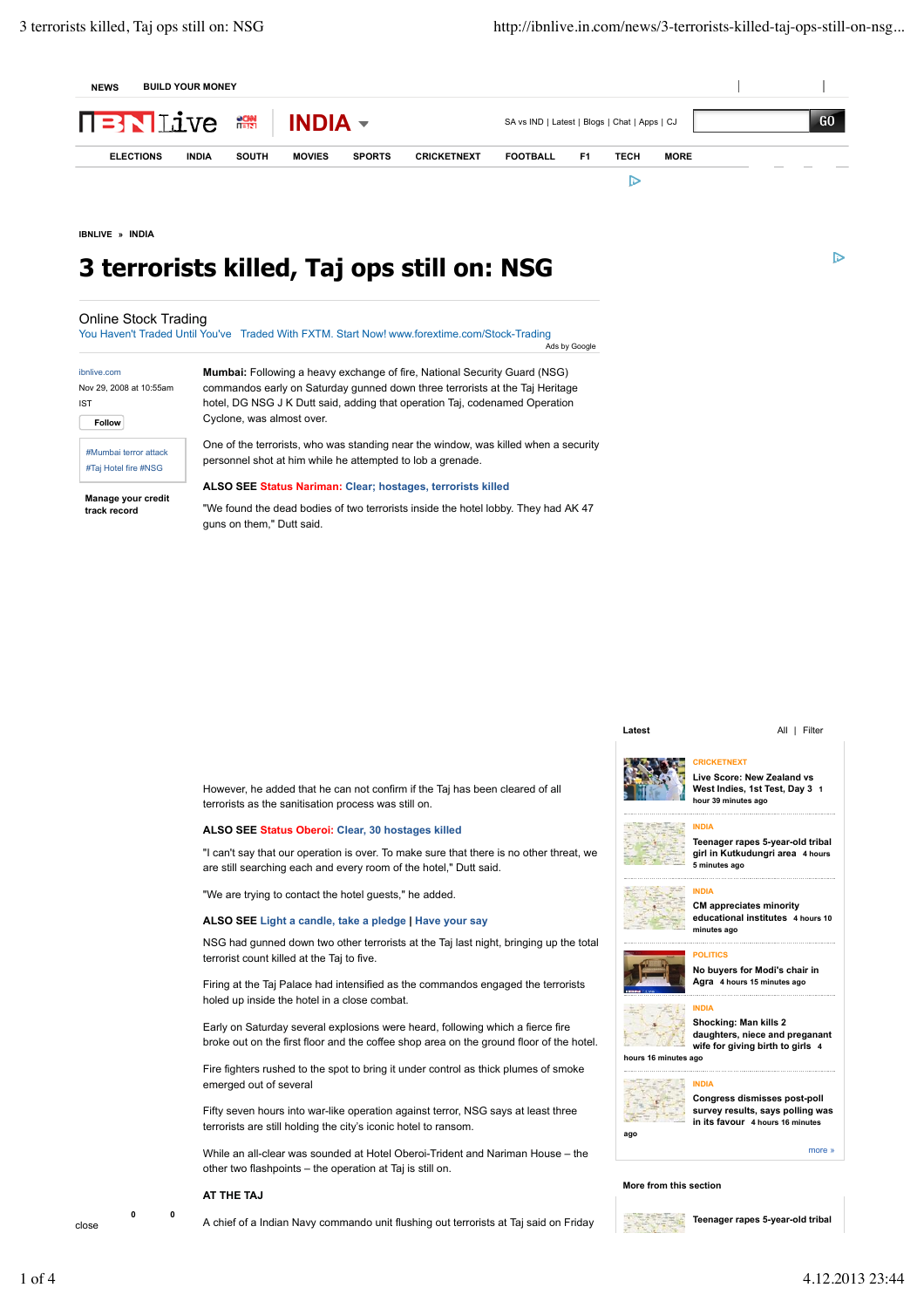

**IBNLIVE » INDIA**

# **3 terrorists killed, Taj ops still on: NSG**

## Online Stock Trading

You Haven't Traded Until You've Traded With FXTM. Start Now! www.forextime.com/Stock-Trading **J**<br>Ads by Google

| ibnlive.com             |  |  |  |  |
|-------------------------|--|--|--|--|
| Nov 29, 2008 at 10:55am |  |  |  |  |
| <b>IST</b>              |  |  |  |  |
| Follow                  |  |  |  |  |

#Mumbai terror attack #Taj Hotel fire #NSG

**track record**

**Mumbai:** Following a heavy exchange of fire, National Security Guard (NSG) commandos early on Saturday gunned down three terrorists at the Taj Heritage hotel, DG NSG J K Dutt said, adding that operation Taj, codenamed Operation Cyclone, was almost over.

One of the terrorists, who was standing near the window, was killed when a security personnel shot at him while he attempted to lob a grenade.

**Manage your credit ALSO SEE Status Nariman: Clear; hostages, terrorists killed**

"We found the dead bodies of two terrorists inside the hotel lobby. They had AK 47 guns on them," Dutt said.

#### **Latest** All | Filter

**D** 

However, he added that he can not confirm if the Taj has been cleared of all terrorists as the sanitisation process was still on.

#### **ALSO SEE Status Oberoi: Clear, 30 hostages killed**

"I can't say that our operation is over. To make sure that there is no other threat, we are still searching each and every room of the hotel," Dutt said.

"We are trying to contact the hotel guests," he added.

### **ALSO SEE Light a candle, take a pledge | Have your say**

NSG had gunned down two other terrorists at the Taj last night, bringing up the total terrorist count killed at the Taj to five.

Firing at the Taj Palace had intensified as the commandos engaged the terrorists holed up inside the hotel in a close combat.

Early on Saturday several explosions were heard, following which a fierce fire broke out on the first floor and the coffee shop area on the ground floor of the hotel.

Fire fighters rushed to the spot to bring it under control as thick plumes of smoke emerged out of several

Fifty seven hours into war-like operation against terror, NSG says at least three terrorists are still holding the city's iconic hotel to ransom.

While an all-clear was sounded at Hotel Oberoi-Trident and Nariman House – the other two flashpoints – the operation at Taj is still on.

A chief of a Indian Navy commando unit flushing out terrorists at Taj said on Friday **<sup>0</sup> <sup>0</sup>**

#### **AT THE TAJ**

close



#### **Live Score: New Zealand vs West Indies, 1st Test, Day 3 1**

**CRICKETNEXT**

**INDIA Teenager rapes 5-year-old tribal girl in Kutkudungri area 4 hours 5 minutes ago**

**INDIA**

**POLITICS**

**INDIA**



**CM appreciates minority educational institutes 4 hours 10 minutes ago**



**No buyers for Modi's chair in Agra 4 hours 15 minutes ago**



**Shocking: Man kills 2 daughters, niece and preganant wife for giving birth to girls 4 hours 16 minutes ago**

**INDIA Congress dismisses post-poll survey results, says polling was in its favour 4 hours 16 minutes**

**ago**

#### **More from this section**



**Teenager rapes 5-year-old tribal**

more »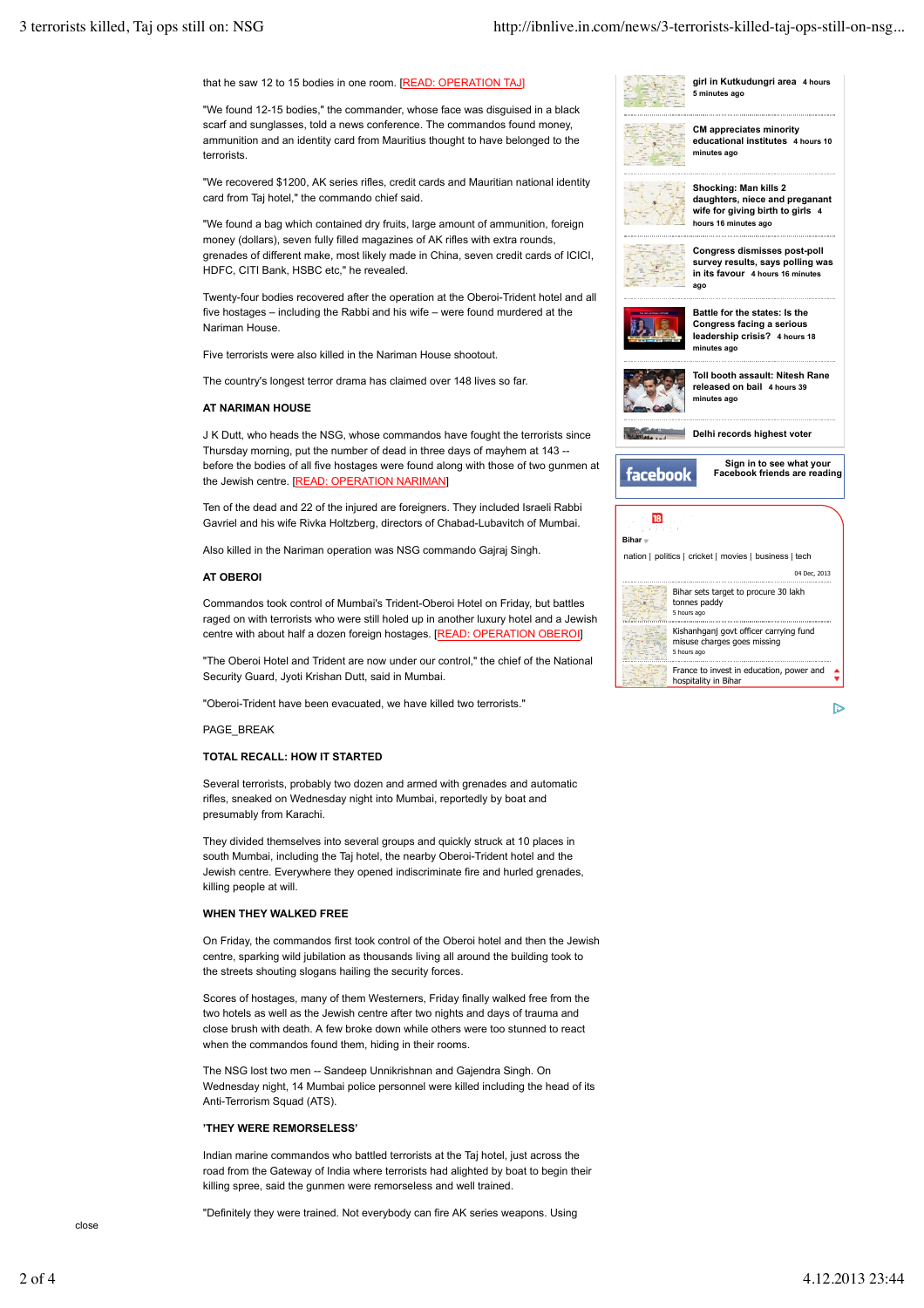**5 minutes ago**

**minutes ago**

**girl in Kutkudungri area 4 hours**

**CM appreciates minority educational institutes 4 hours 10**



"We found 12-15 bodies," the commander, whose face was disguised in a black scarf and sunglasses, told a news conference. The commandos found money, ammunition and an identity card from Mauritius thought to have belonged to the terrorists.

"We recovered \$1200, AK series rifles, credit cards and Mauritian national identity card from Taj hotel," the commando chief said.

"We found a bag which contained dry fruits, large amount of ammunition, foreign money (dollars), seven fully filled magazines of AK rifles with extra rounds, grenades of different make, most likely made in China, seven credit cards of ICICI, HDFC, CITI Bank, HSBC etc," he revealed.

Twenty-four bodies recovered after the operation at the Oberoi-Trident hotel and all five hostages – including the Rabbi and his wife – were found murdered at the Nariman House.

Five terrorists were also killed in the Nariman House shootout.

The country's longest terror drama has claimed over 148 lives so far.

#### **AT NARIMAN HOUSE**

J K Dutt, who heads the NSG, whose commandos have fought the terrorists since Thursday morning, put the number of dead in three days of mayhem at 143 - before the bodies of all five hostages were found along with those of two gunmen at the Jewish centre. [READ: OPERATION NARIMAN]

Ten of the dead and 22 of the injured are foreigners. They included Israeli Rabbi Gavriel and his wife Rivka Holtzberg, directors of Chabad-Lubavitch of Mumbai.

Also killed in the Nariman operation was NSG commando Gajraj Singh.

#### **AT OBEROI**

Commandos took control of Mumbai's Trident-Oberoi Hotel on Friday, but battles raged on with terrorists who were still holed up in another luxury hotel and a Jewish centre with about half a dozen foreign hostages. [READ: OPERATION OBEROI]

"The Oberoi Hotel and Trident are now under our control," the chief of the National Security Guard, Jyoti Krishan Dutt, said in Mumbai.

"Oberoi-Trident have been evacuated, we have killed two terrorists."

PAGE\_BREAK

#### **TOTAL RECALL: HOW IT STARTED**

Several terrorists, probably two dozen and armed with grenades and automatic rifles, sneaked on Wednesday night into Mumbai, reportedly by boat and presumably from Karachi.

They divided themselves into several groups and quickly struck at 10 places in south Mumbai, including the Taj hotel, the nearby Oberoi-Trident hotel and the Jewish centre. Everywhere they opened indiscriminate fire and hurled grenades, killing people at will.

#### **WHEN THEY WALKED FREE**

On Friday, the commandos first took control of the Oberoi hotel and then the Jewish centre, sparking wild jubilation as thousands living all around the building took to the streets shouting slogans hailing the security forces.

Scores of hostages, many of them Westerners, Friday finally walked free from the two hotels as well as the Jewish centre after two nights and days of trauma and close brush with death. A few broke down while others were too stunned to react when the commandos found them, hiding in their rooms.

The NSG lost two men -- Sandeep Unnikrishnan and Gajendra Singh. On Wednesday night, 14 Mumbai police personnel were killed including the head of its Anti-Terrorism Squad (ATS).

#### **'THEY WERE REMORSELESS'**

Indian marine commandos who battled terrorists at the Taj hotel, just across the road from the Gateway of India where terrorists had alighted by boat to begin their killing spree, said the gunmen were remorseless and well trained.

"Definitely they were trained. Not everybody can fire AK series weapons. Using





 $\triangleright$